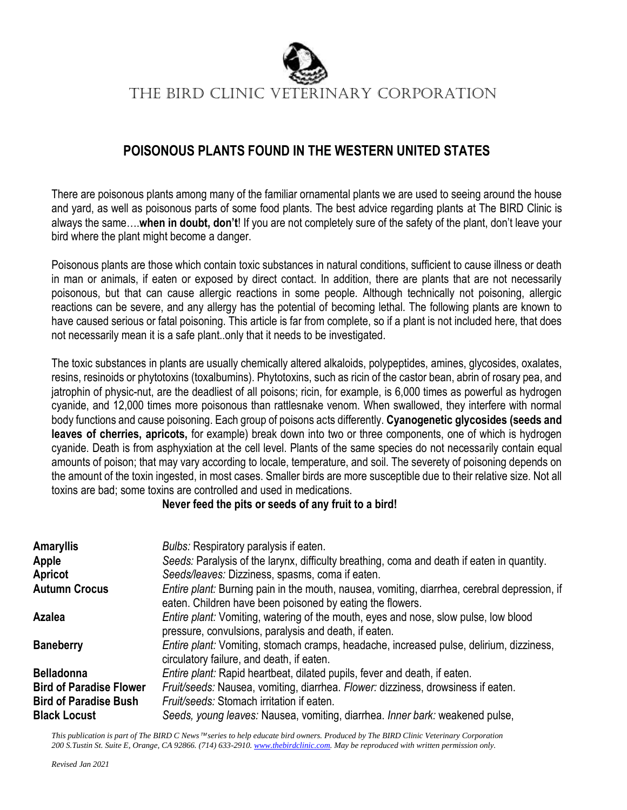

The BIRD Clinic VETERINARY CORPORATION

#### **POISONOUS PLANTS FOUND IN THE WESTERN UNITED STATES**

There are poisonous plants among many of the familiar ornamental plants we are used to seeing around the house and yard, as well as poisonous parts of some food plants. The best advice regarding plants at The BIRD Clinic is always the same….**when in doubt, don't**! If you are not completely sure of the safety of the plant, don't leave your bird where the plant might become a danger.

Poisonous plants are those which contain toxic substances in natural conditions, sufficient to cause illness or death in man or animals, if eaten or exposed by direct contact. In addition, there are plants that are not necessarily poisonous, but that can cause allergic reactions in some people. Although technically not poisoning, allergic reactions can be severe, and any allergy has the potential of becoming lethal. The following plants are known to have caused serious or fatal poisoning. This article is far from complete, so if a plant is not included here, that does not necessarily mean it is a safe plant..only that it needs to be investigated.

The toxic substances in plants are usually chemically altered alkaloids, polypeptides, amines, glycosides, oxalates, resins, resinoids or phytotoxins (toxalbumins). Phytotoxins, such as ricin of the castor bean, abrin of rosary pea, and jatrophin of physic-nut, are the deadliest of all poisons; ricin, for example, is 6,000 times as powerful as hydrogen cyanide, and 12,000 times more poisonous than rattlesnake venom. When swallowed, they interfere with normal body functions and cause poisoning. Each group of poisons acts differently. **Cyanogenetic glycosides (seeds and leaves of cherries, apricots,** for example) break down into two or three components, one of which is hydrogen cyanide. Death is from asphyxiation at the cell level. Plants of the same species do not necessarily contain equal amounts of poison; that may vary according to locale, temperature, and soil. The severety of poisoning depends on the amount of the toxin ingested, in most cases. Smaller birds are more susceptible due to their relative size. Not all toxins are bad; some toxins are controlled and used in medications.

#### **Never feed the pits or seeds of any fruit to a bird!**

| <b>Amaryllis</b>               | Bulbs: Respiratory paralysis if eaten.                                                                                                                           |
|--------------------------------|------------------------------------------------------------------------------------------------------------------------------------------------------------------|
| Apple                          | Seeds: Paralysis of the larynx, difficulty breathing, coma and death if eaten in quantity.                                                                       |
| Apricot                        | Seeds/leaves: Dizziness, spasms, coma if eaten.                                                                                                                  |
| <b>Autumn Crocus</b>           | <i>Entire plant:</i> Burning pain in the mouth, nausea, vomiting, diarrhea, cerebral depression, if<br>eaten. Children have been poisoned by eating the flowers. |
| Azalea                         | Entire plant: Vomiting, watering of the mouth, eyes and nose, slow pulse, low blood<br>pressure, convulsions, paralysis and death, if eaten.                     |
| <b>Baneberry</b>               | <i>Entire plant:</i> Vomiting, stomach cramps, headache, increased pulse, delirium, dizziness,<br>circulatory failure, and death, if eaten.                      |
| <b>Belladonna</b>              | <i>Entire plant:</i> Rapid heartbeat, dilated pupils, fever and death, if eaten.                                                                                 |
| <b>Bird of Paradise Flower</b> | Fruit/seeds: Nausea, vomiting, diarrhea. Flower: dizziness, drowsiness if eaten.                                                                                 |
| <b>Bird of Paradise Bush</b>   | Fruit/seeds: Stomach irritation if eaten.                                                                                                                        |
| <b>Black Locust</b>            | Seeds, young leaves: Nausea, vomiting, diarrhea. Inner bark: weakened pulse,                                                                                     |

*This publication is part of The BIRD C News* <sup>™</sup> series to help educate bird owners. Produced by The BIRD Clinic Veterinary Corporation *200 S.Tustin St. Suite E, Orange, CA 92866. (714) 633-2910[. www.thebirdclinic.com.](http://www.thebirdclinic.com/) May be reproduced with written permission only.*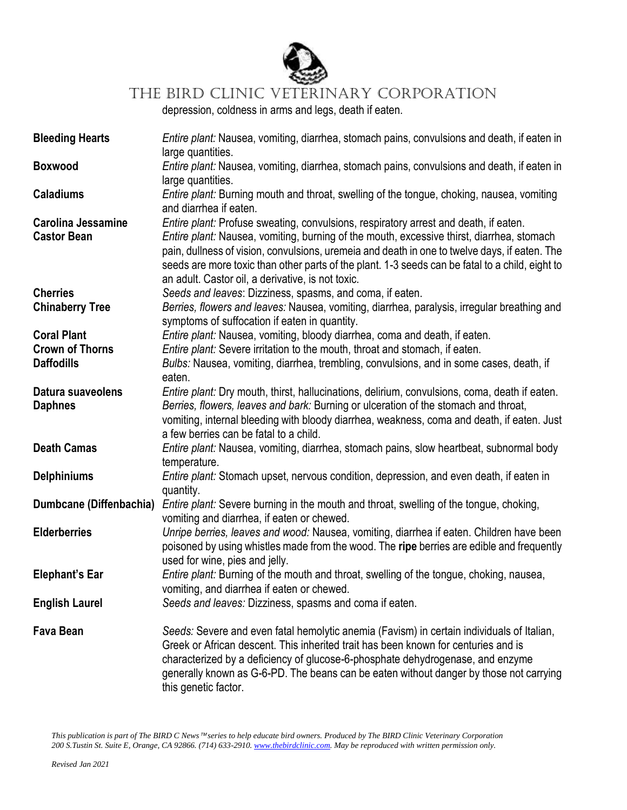

### THE BIRD CLINIC VETERINARY CORPORATION

depression, coldness in arms and legs, death if eaten.

| <b>Bleeding Hearts</b>         | Entire plant: Nausea, vomiting, diarrhea, stomach pains, convulsions and death, if eaten in<br>large quantities.                                                                                                                                                                                                                                   |
|--------------------------------|----------------------------------------------------------------------------------------------------------------------------------------------------------------------------------------------------------------------------------------------------------------------------------------------------------------------------------------------------|
| <b>Boxwood</b>                 | Entire plant: Nausea, vomiting, diarrhea, stomach pains, convulsions and death, if eaten in<br>large quantities.                                                                                                                                                                                                                                   |
| <b>Caladiums</b>               | Entire plant: Burning mouth and throat, swelling of the tongue, choking, nausea, vomiting<br>and diarrhea if eaten.                                                                                                                                                                                                                                |
| <b>Carolina Jessamine</b>      | Entire plant: Profuse sweating, convulsions, respiratory arrest and death, if eaten.                                                                                                                                                                                                                                                               |
| <b>Castor Bean</b>             | Entire plant: Nausea, vomiting, burning of the mouth, excessive thirst, diarrhea, stomach<br>pain, dullness of vision, convulsions, uremeia and death in one to twelve days, if eaten. The<br>seeds are more toxic than other parts of the plant. 1-3 seeds can be fatal to a child, eight to<br>an adult. Castor oil, a derivative, is not toxic. |
| <b>Cherries</b>                | Seeds and leaves: Dizziness, spasms, and coma, if eaten.                                                                                                                                                                                                                                                                                           |
| <b>Chinaberry Tree</b>         | Berries, flowers and leaves: Nausea, vomiting, diarrhea, paralysis, irregular breathing and<br>symptoms of suffocation if eaten in quantity.                                                                                                                                                                                                       |
| <b>Coral Plant</b>             | Entire plant: Nausea, vomiting, bloody diarrhea, coma and death, if eaten.                                                                                                                                                                                                                                                                         |
| <b>Crown of Thorns</b>         | Entire plant: Severe irritation to the mouth, throat and stomach, if eaten.                                                                                                                                                                                                                                                                        |
| <b>Daffodills</b>              | Bulbs: Nausea, vomiting, diarrhea, trembling, convulsions, and in some cases, death, if                                                                                                                                                                                                                                                            |
|                                | eaten.                                                                                                                                                                                                                                                                                                                                             |
| Datura suaveolens              | Entire plant: Dry mouth, thirst, hallucinations, delirium, convulsions, coma, death if eaten.                                                                                                                                                                                                                                                      |
| <b>Daphnes</b>                 | Berries, flowers, leaves and bark: Burning or ulceration of the stomach and throat,                                                                                                                                                                                                                                                                |
|                                | vomiting, internal bleeding with bloody diarrhea, weakness, coma and death, if eaten. Just                                                                                                                                                                                                                                                         |
|                                | a few berries can be fatal to a child.                                                                                                                                                                                                                                                                                                             |
| <b>Death Camas</b>             | Entire plant: Nausea, vomiting, diarrhea, stomach pains, slow heartbeat, subnormal body                                                                                                                                                                                                                                                            |
|                                | temperature.                                                                                                                                                                                                                                                                                                                                       |
| <b>Delphiniums</b>             | Entire plant: Stomach upset, nervous condition, depression, and even death, if eaten in                                                                                                                                                                                                                                                            |
|                                | quantity.                                                                                                                                                                                                                                                                                                                                          |
| <b>Dumbcane (Diffenbachia)</b> | Entire plant: Severe burning in the mouth and throat, swelling of the tongue, choking,                                                                                                                                                                                                                                                             |
|                                | vomiting and diarrhea, if eaten or chewed.                                                                                                                                                                                                                                                                                                         |
| <b>Elderberries</b>            | Unripe berries, leaves and wood: Nausea, vomiting, diarrhea if eaten. Children have been                                                                                                                                                                                                                                                           |
|                                |                                                                                                                                                                                                                                                                                                                                                    |
|                                | poisoned by using whistles made from the wood. The ripe berries are edible and frequently                                                                                                                                                                                                                                                          |
|                                | used for wine, pies and jelly.                                                                                                                                                                                                                                                                                                                     |
| <b>Elephant's Ear</b>          | Entire plant: Burning of the mouth and throat, swelling of the tongue, choking, nausea,                                                                                                                                                                                                                                                            |
|                                | vomiting, and diarrhea if eaten or chewed.                                                                                                                                                                                                                                                                                                         |
| <b>English Laurel</b>          | Seeds and leaves: Dizziness, spasms and coma if eaten.                                                                                                                                                                                                                                                                                             |
|                                |                                                                                                                                                                                                                                                                                                                                                    |
| <b>Fava Bean</b>               | Seeds: Severe and even fatal hemolytic anemia (Favism) in certain individuals of Italian,                                                                                                                                                                                                                                                          |
|                                | Greek or African descent. This inherited trait has been known for centuries and is                                                                                                                                                                                                                                                                 |
|                                | characterized by a deficiency of glucose-6-phosphate dehydrogenase, and enzyme                                                                                                                                                                                                                                                                     |
|                                | generally known as G-6-PD. The beans can be eaten without danger by those not carrying                                                                                                                                                                                                                                                             |
|                                | this genetic factor.                                                                                                                                                                                                                                                                                                                               |

*This publication is part of The BIRD C News* ™series to help educate bird owners. Produced by The BIRD Clinic Veterinary Corporation *200 S.Tustin St. Suite E, Orange, CA 92866. (714) 633-2910[. www.thebirdclinic.com.](http://www.thebirdclinic.com/) May be reproduced with written permission only.*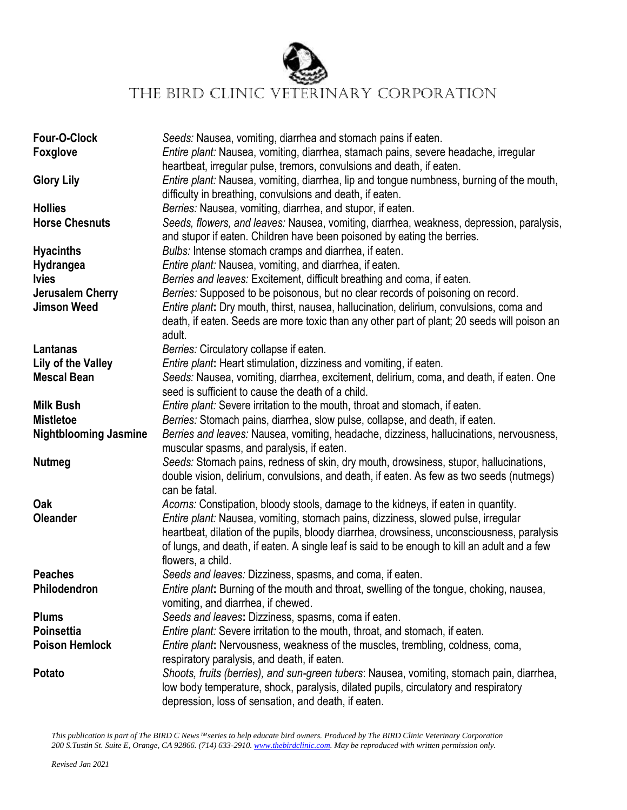

## THE BIRD CLINIC VETERINARY CORPORATION

| Four-O-Clock<br><b>Foxglove</b> | Seeds: Nausea, vomiting, diarrhea and stomach pains if eaten.<br>Entire plant: Nausea, vomiting, diarrhea, stamach pains, severe headache, irregular<br>heartbeat, irregular pulse, tremors, convulsions and death, if eaten.           |
|---------------------------------|-----------------------------------------------------------------------------------------------------------------------------------------------------------------------------------------------------------------------------------------|
| <b>Glory Lily</b>               | Entire plant: Nausea, vomiting, diarrhea, lip and tongue numbness, burning of the mouth,<br>difficulty in breathing, convulsions and death, if eaten.                                                                                   |
| <b>Hollies</b>                  | Berries: Nausea, vomiting, diarrhea, and stupor, if eaten.                                                                                                                                                                              |
| <b>Horse Chesnuts</b>           | Seeds, flowers, and leaves: Nausea, vomiting, diarrhea, weakness, depression, paralysis,<br>and stupor if eaten. Children have been poisoned by eating the berries.                                                                     |
| <b>Hyacinths</b>                | Bulbs: Intense stomach cramps and diarrhea, if eaten.                                                                                                                                                                                   |
| Hydrangea                       | Entire plant: Nausea, vomiting, and diarrhea, if eaten.                                                                                                                                                                                 |
| <b>Ivies</b>                    | Berries and leaves: Excitement, difficult breathing and coma, if eaten.                                                                                                                                                                 |
| Jerusalem Cherry                | Berries: Supposed to be poisonous, but no clear records of poisoning on record.                                                                                                                                                         |
| <b>Jimson Weed</b>              | Entire plant: Dry mouth, thirst, nausea, hallucination, delirium, convulsions, coma and<br>death, if eaten. Seeds are more toxic than any other part of plant; 20 seeds will poison an<br>adult.                                        |
| Lantanas                        | Berries: Circulatory collapse if eaten.                                                                                                                                                                                                 |
| Lily of the Valley              | Entire plant: Heart stimulation, dizziness and vomiting, if eaten.                                                                                                                                                                      |
| <b>Mescal Bean</b>              | Seeds: Nausea, vomiting, diarrhea, excitement, delirium, coma, and death, if eaten. One<br>seed is sufficient to cause the death of a child.                                                                                            |
| <b>Milk Bush</b>                | Entire plant: Severe irritation to the mouth, throat and stomach, if eaten.                                                                                                                                                             |
| <b>Mistletoe</b>                | Berries: Stomach pains, diarrhea, slow pulse, collapse, and death, if eaten.                                                                                                                                                            |
| <b>Nightblooming Jasmine</b>    | Berries and leaves: Nausea, vomiting, headache, dizziness, hallucinations, nervousness,<br>muscular spasms, and paralysis, if eaten.                                                                                                    |
| <b>Nutmeg</b>                   | Seeds: Stomach pains, redness of skin, dry mouth, drowsiness, stupor, hallucinations,<br>double vision, delirium, convulsions, and death, if eaten. As few as two seeds (nutmegs)<br>can be fatal.                                      |
| Oak                             | Acorns: Constipation, bloody stools, damage to the kidneys, if eaten in quantity.                                                                                                                                                       |
| <b>Oleander</b>                 | Entire plant: Nausea, vomiting, stomach pains, dizziness, slowed pulse, irregular                                                                                                                                                       |
|                                 | heartbeat, dilation of the pupils, bloody diarrhea, drowsiness, unconsciousness, paralysis                                                                                                                                              |
|                                 | of lungs, and death, if eaten. A single leaf is said to be enough to kill an adult and a few                                                                                                                                            |
|                                 | flowers, a child.                                                                                                                                                                                                                       |
| <b>Peaches</b>                  | Seeds and leaves: Dizziness, spasms, and coma, if eaten.                                                                                                                                                                                |
| Philodendron                    | Entire plant: Burning of the mouth and throat, swelling of the tongue, choking, nausea,<br>vomiting, and diarrhea, if chewed.                                                                                                           |
| <b>Plums</b>                    | Seeds and leaves: Dizziness, spasms, coma if eaten.                                                                                                                                                                                     |
| <b>Poinsettia</b>               | <i>Entire plant:</i> Severe irritation to the mouth, throat, and stomach, if eaten.                                                                                                                                                     |
| <b>Poison Hemlock</b>           | Entire plant: Nervousness, weakness of the muscles, trembling, coldness, coma,<br>respiratory paralysis, and death, if eaten.                                                                                                           |
| Potato                          | Shoots, fruits (berries), and sun-green tubers: Nausea, vomiting, stomach pain, diarrhea,<br>low body temperature, shock, paralysis, dilated pupils, circulatory and respiratory<br>depression, loss of sensation, and death, if eaten. |

*This publication is part of The BIRD C News* ™series to help educate bird owners. Produced by The BIRD Clinic Veterinary Corporation *200 S.Tustin St. Suite E, Orange, CA 92866. (714) 633-2910[. www.thebirdclinic.com.](http://www.thebirdclinic.com/) May be reproduced with written permission only.*